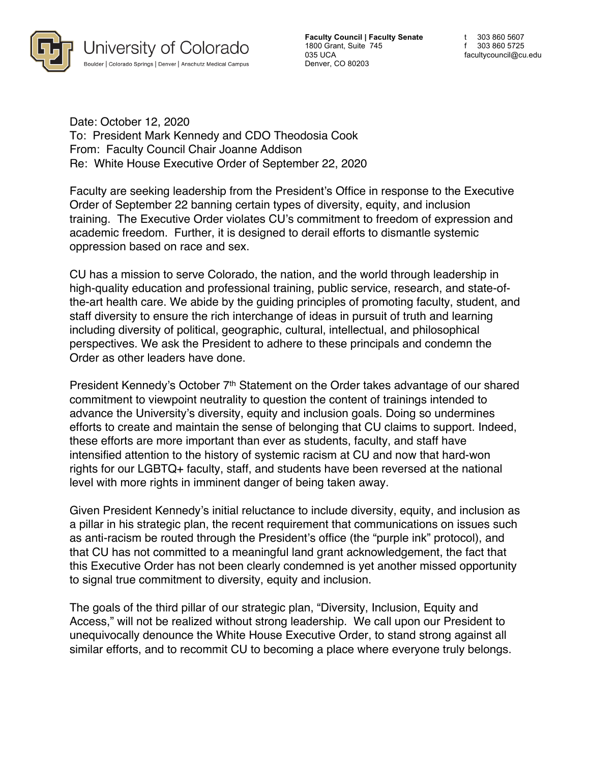

**Faculty Council | Faculty Senate** 1800 Grant, Suite 745 035 UCA Denver, CO 80203

t 303 860 5607 f 303 860 5725 facultycouncil@cu.edu

Date: October 12, 2020 To: President Mark Kennedy and CDO Theodosia Cook From: Faculty Council Chair Joanne Addison Re: White House Executive Order of September 22, 2020

Faculty are seeking leadership from the President's Office in response to the Executive Order of September 22 banning certain types of diversity, equity, and inclusion training. The Executive Order violates CU's commitment to freedom of expression and academic freedom. Further, it is designed to derail efforts to dismantle systemic oppression based on race and sex.

CU has a mission to serve Colorado, the nation, and the world through leadership in high-quality education and professional training, public service, research, and state-ofthe-art health care. We abide by the guiding principles of promoting faculty, student, and staff diversity to ensure the rich interchange of ideas in pursuit of truth and learning including diversity of political, geographic, cultural, intellectual, and philosophical perspectives. We ask the President to adhere to these principals and condemn the Order as other leaders have done.

President Kennedy's October 7<sup>th</sup> Statement on the Order takes advantage of our shared commitment to viewpoint neutrality to question the content of trainings intended to advance the University's diversity, equity and inclusion goals. Doing so undermines efforts to create and maintain the sense of belonging that CU claims to support. Indeed, these efforts are more important than ever as students, faculty, and staff have intensified attention to the history of systemic racism at CU and now that hard-won rights for our LGBTQ+ faculty, staff, and students have been reversed at the national level with more rights in imminent danger of being taken away.

Given President Kennedy's initial reluctance to include diversity, equity, and inclusion as a pillar in his strategic plan, the recent requirement that communications on issues such as anti-racism be routed through the President's office (the "purple ink" protocol), and that CU has not committed to a meaningful land grant acknowledgement, the fact that this Executive Order has not been clearly condemned is yet another missed opportunity to signal true commitment to diversity, equity and inclusion.

The goals of the third pillar of our strategic plan, "Diversity, Inclusion, Equity and Access," will not be realized without strong leadership. We call upon our President to unequivocally denounce the White House Executive Order, to stand strong against all similar efforts, and to recommit CU to becoming a place where everyone truly belongs.